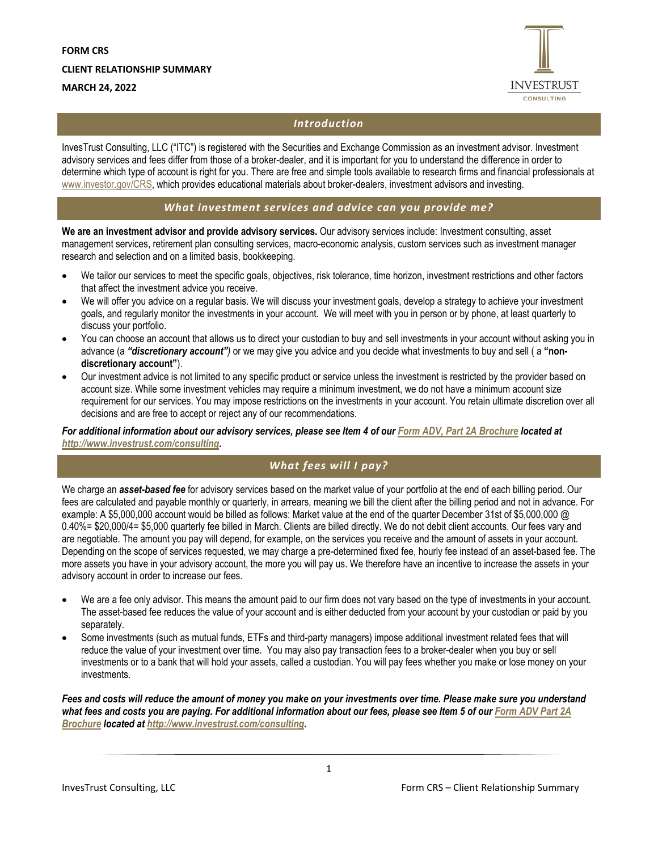

# *Introduction*

InvesTrust Consulting, LLC ("ITC") is registered with the Securities and Exchange Commission as an investment advisor. Investment advisory services and fees differ from those of a broker-dealer, and it is important for you to understand the difference in order to determine which type of account is right for you. There are free and simple tools available to research firms and financial professionals at www.investor.gov/CRS, which provides educational materials about broker-dealers, investment advisors and investing.

# *What investment services and advice can you provide me?*

**We are an investment advisor and provide advisory services.** Our advisory services include: Investment consulting, asset management services, retirement plan consulting services, macro-economic analysis, custom services such as investment manager research and selection and on a limited basis, bookkeeping.

- We tailor our services to meet the specific goals, objectives, risk tolerance, time horizon, investment restrictions and other factors that affect the investment advice you receive.
- We will offer you advice on a regular basis. We will discuss your investment goals, develop a strategy to achieve your investment goals, and regularly monitor the investments in your account. We will meet with you in person or by phone, at least quarterly to discuss your portfolio.
- You can choose an account that allows us to direct your custodian to buy and sell investments in your account without asking you in advance (a *"discretionary account")* or we may give you advice and you decide what investments to buy and sell ( a **"nondiscretionary account"**).
- Our investment advice is not limited to any specific product or service unless the investment is restricted by the provider based on account size. While some investment vehicles may require a minimum investment, we do not have a minimum account size requirement for our services. You may impose restrictions on the investments in your account. You retain ultimate discretion over all decisions and are free to accept or reject any of our recommendations.

*For additional information about our advisory services, please see Item 4 of our Form ADV, Part 2A Brochure located at http://www.investrust.com/consulting.* 

# *What fees will I pay?*

We charge an *asset-based fee* for advisory services based on the market value of your portfolio at the end of each billing period. Our fees are calculated and payable monthly or quarterly, in arrears, meaning we bill the client after the billing period and not in advance. For example: A \$5,000,000 account would be billed as follows: Market value at the end of the quarter December 31st of \$5,000,000 @ 0.40%= \$20,000/4= \$5,000 quarterly fee billed in March. Clients are billed directly. We do not debit client accounts. Our fees vary and are negotiable. The amount you pay will depend, for example, on the services you receive and the amount of assets in your account. Depending on the scope of services requested, we may charge a pre-determined fixed fee, hourly fee instead of an asset-based fee. The more assets you have in your advisory account, the more you will pay us. We therefore have an incentive to increase the assets in your advisory account in order to increase our fees.

- We are a fee only advisor. This means the amount paid to our firm does not vary based on the type of investments in your account. The asset-based fee reduces the value of your account and is either deducted from your account by your custodian or paid by you separately.
- Some investments (such as mutual funds, ETFs and third-party managers) impose additional investment related fees that will reduce the value of your investment over time. You may also pay transaction fees to a broker-dealer when you buy or sell investments or to a bank that will hold your assets, called a custodian. You will pay fees whether you make or lose money on your investments.

*Fees and costs will reduce the amount of money you make on your investments over time. Please make sure you understand what fees and costs you are paying. For additional information about our fees, please see Item 5 of our Form ADV Part 2A Brochure located at http://www.investrust.com/consulting.*